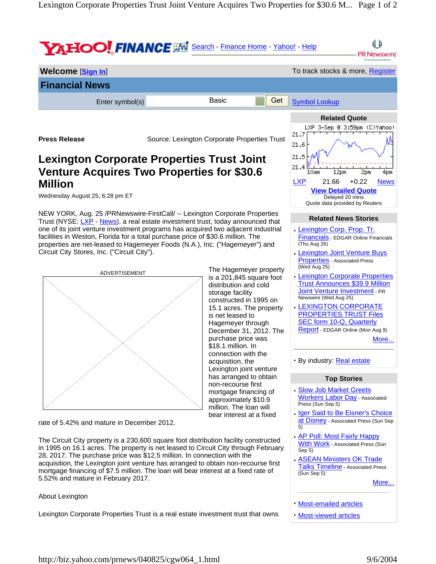

Lexington Corporate Properties Trust is a real estate investment trust that owns

**·** Most-viewed articles